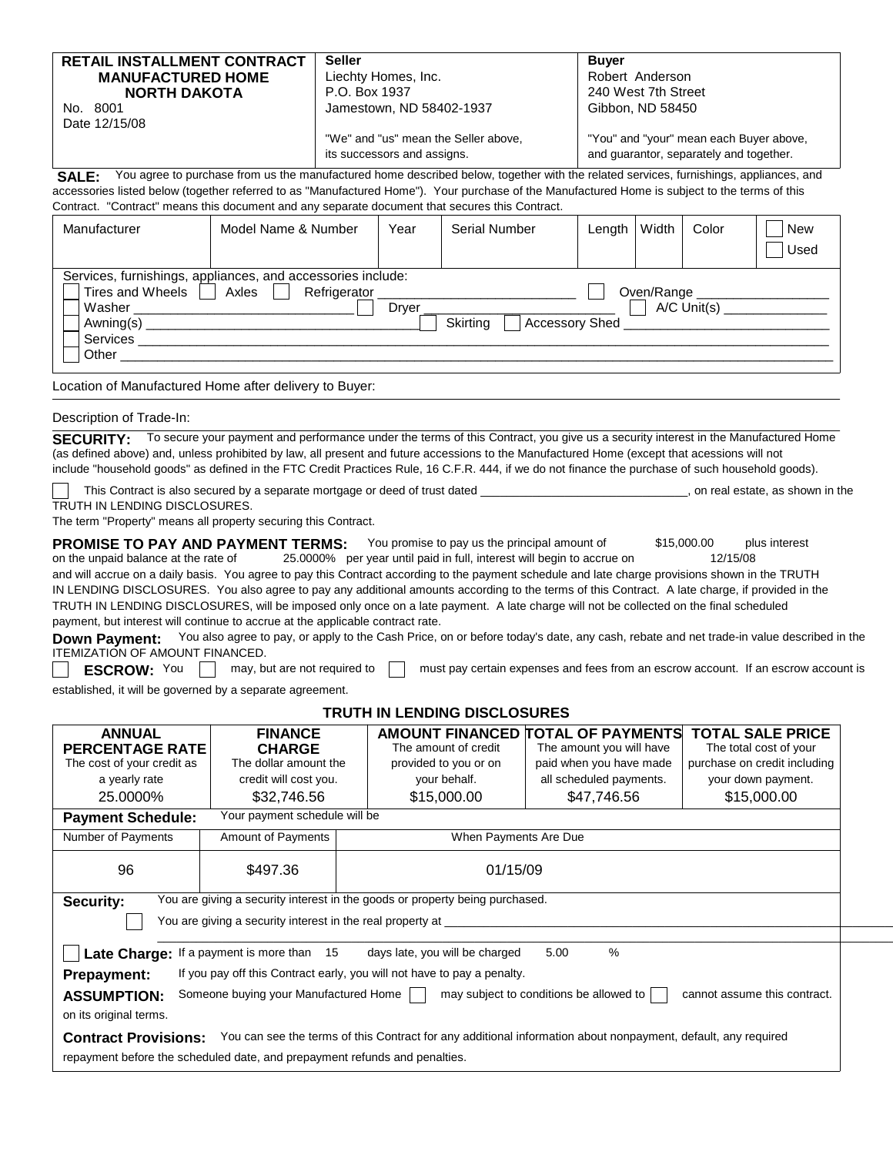| <b>RETAIL INSTALLMENT CONTRACT</b>                                                                                                             | <b>Seller</b>                        | <b>Buver</b>                            |  |  |  |
|------------------------------------------------------------------------------------------------------------------------------------------------|--------------------------------------|-----------------------------------------|--|--|--|
| <b>MANUFACTURED HOME</b>                                                                                                                       | Liechty Homes, Inc.                  | Robert Anderson                         |  |  |  |
| <b>NORTH DAKOTA</b>                                                                                                                            | P.O. Box 1937                        | 240 West 7th Street                     |  |  |  |
| No. 8001                                                                                                                                       | Jamestown, ND 58402-1937             | Gibbon, ND 58450                        |  |  |  |
| Date 12/15/08                                                                                                                                  |                                      |                                         |  |  |  |
|                                                                                                                                                | "We" and "us" mean the Seller above, | "You" and "your" mean each Buyer above, |  |  |  |
|                                                                                                                                                | its successors and assigns.          | and quarantor, separately and together. |  |  |  |
| You agree to purchase from us the manufactured home described below, together with the related services, furnishings, appliances, and<br>SALE: |                                      |                                         |  |  |  |
| accessories listed below (together referred to as "Manufactured Home"). Your purchase of the Manufactured Home is subject to the terms of this |                                      |                                         |  |  |  |

Contract. "Contract" means this document and any separate document that secures this Contract.

| Manufacturer                                                         | Model Name & Number                                                                  | Year  | <b>Serial Number</b>              | Length | Width      | Color         | <b>New</b><br>Used |
|----------------------------------------------------------------------|--------------------------------------------------------------------------------------|-------|-----------------------------------|--------|------------|---------------|--------------------|
| Tires and Wheels<br>Washer<br>Awining(s)<br><b>Services</b><br>Other | Services, furnishings, appliances, and accessories include:<br>Axles<br>Refrigerator | Dryer | Skirtina<br><b>Accessory Shed</b> |        | Oven/Range | $A/C$ Unit(s) |                    |

Location of Manufactured Home after delivery to Buyer:

#### Description of Trade-In:

SECURITY: To secure your payment and performance under the terms of this Contract, you give us a security interest in the Manufactured Home (as defined above) and, unless prohibited by law, all present and future accessions to the Manufactured Home (except that acessions will not include "household goods" as defined in the FTC Credit Practices Rule, 16 C.F.R. 444, if we do not finance the purchase of such household goods).

TRUTH IN LENDING DISCLOSURES. This Contract is also secured by a separate mortgage or deed of trust dated \_\_\_\_\_\_\_\_\_\_\_\_\_\_\_\_\_\_\_\_\_\_\_\_\_\_\_\_\_\_\_\_, on real estate, as shown in the

The term "Property" means all property securing this Contract.

| <b>PROMISE TO PAY AND PAYMENT TERMS:</b>                                       | You promise to pay us the principal amount of                                                                                                    | \$15,000.00 | plus interest |
|--------------------------------------------------------------------------------|--------------------------------------------------------------------------------------------------------------------------------------------------|-------------|---------------|
| on the unpaid balance at the rate of                                           | 25.0000% per year until paid in full, interest will begin to accrue on                                                                           | 12/15/08    |               |
|                                                                                | and will accrue on a daily basis. You agree to pay this Contract according to the payment schedule and late charge provisions shown in the TRUTH |             |               |
|                                                                                | IN LENDING DISCLOSURES. You also agree to pay any additional amounts according to the terms of this Contract. A late charge, if provided in the  |             |               |
|                                                                                | TRUTH IN LENDING DISCLOSURES, will be imposed only once on a late payment. A late charge will not be collected on the final scheduled            |             |               |
| payment, but interest will continue to accrue at the applicable contract rate. |                                                                                                                                                  |             |               |

Down Payment: You also agree to pay, or apply to the Cash Price, on or before today's date, any cash, rebate and net trade-in value described in the ITEMIZATION OF AMOUNT FINANCED.

**ESCROW:** You  $\Box$  may, but are not required to  $\Box$  must pay certain expenses and fees from an escrow account. If an escrow account is

established, it will be governed by a separate agreement.

# **TRUTH IN LENDING DISCLOSURES**

| <b>ANNUAL</b>                                                                             | <b>FINANCE</b>                                                             | The amount of credit                                                                                          | AMOUNT FINANCED TOTAL OF PAYMENTS                   | <b>TOTAL SALE PRICE</b>                                |  |
|-------------------------------------------------------------------------------------------|----------------------------------------------------------------------------|---------------------------------------------------------------------------------------------------------------|-----------------------------------------------------|--------------------------------------------------------|--|
| <b>PERCENTAGE RATE</b><br>The cost of your credit as                                      | <b>CHARGE</b><br>The dollar amount the                                     | provided to you or on                                                                                         | The amount you will have<br>paid when you have made | The total cost of your<br>purchase on credit including |  |
| a yearly rate                                                                             | credit will cost you.                                                      | your behalf.                                                                                                  | all scheduled payments.                             | your down payment.                                     |  |
| 25.0000%                                                                                  | \$32,746.56                                                                | \$15,000.00                                                                                                   | \$47,746.56                                         | \$15,000.00                                            |  |
| <b>Payment Schedule:</b>                                                                  | Your payment schedule will be                                              |                                                                                                               |                                                     |                                                        |  |
| Number of Payments                                                                        | <b>Amount of Payments</b>                                                  | When Payments Are Due                                                                                         |                                                     |                                                        |  |
| 96                                                                                        | \$497.36                                                                   | 01/15/09                                                                                                      |                                                     |                                                        |  |
| You are giving a security interest in the goods or property being purchased.<br>Security: |                                                                            |                                                                                                               |                                                     |                                                        |  |
| You are giving a security interest in the real property at _____                          |                                                                            |                                                                                                               |                                                     |                                                        |  |
|                                                                                           | Late Charge: If a payment is more than 15                                  | days late, you will be charged                                                                                | %<br>5.00                                           |                                                        |  |
| Prepayment:                                                                               |                                                                            | If you pay off this Contract early, you will not have to pay a penalty.                                       |                                                     |                                                        |  |
| <b>ASSUMPTION:</b>                                                                        | Someone buying your Manufactured Home                                      |                                                                                                               | may subject to conditions be allowed to             | cannot assume this contract.                           |  |
| on its original terms.                                                                    |                                                                            |                                                                                                               |                                                     |                                                        |  |
| <b>Contract Provisions:</b>                                                               |                                                                            | You can see the terms of this Contract for any additional information about nonpayment, default, any required |                                                     |                                                        |  |
|                                                                                           | repayment before the scheduled date, and prepayment refunds and penalties. |                                                                                                               |                                                     |                                                        |  |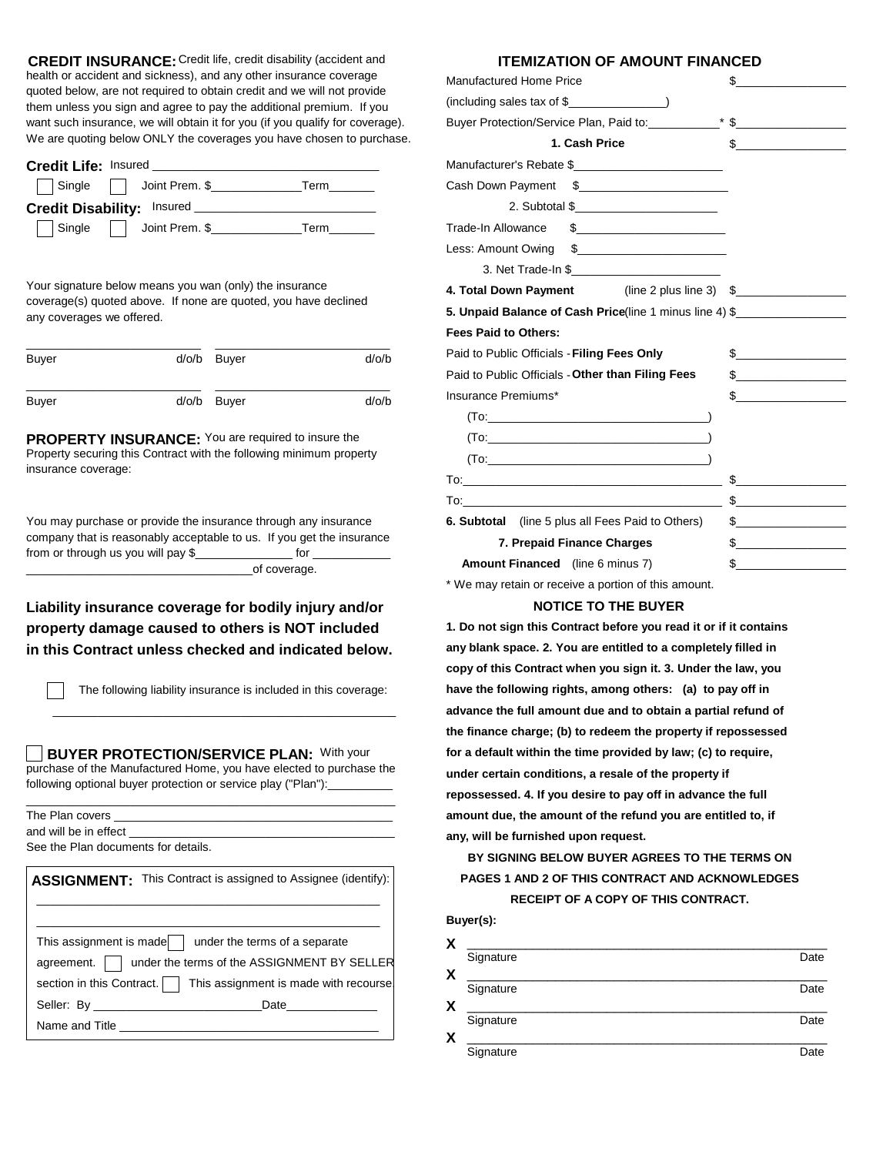CREDIT INSURANCE: Credit life, credit disability (accident and health or accident and sickness), and any other insurance coverage quoted below, are not required to obtain credit and we will not provide them unless you sign and agree to pay the additional premium. If you want such insurance, we will obtain it for you (if you qualify for coverage). We are quoting below ONLY the coverages you have chosen to purchase.

| Credit Life: Insured       |                         |      |  |  |  |
|----------------------------|-------------------------|------|--|--|--|
|                            | Single Joint Prem. \$   | Term |  |  |  |
| Credit Disability: Insured |                         |      |  |  |  |
|                            | Single   Joint Prem. \$ | Term |  |  |  |

Your signature below means you wan (only) the insurance coverage(s) quoted above. If none are quoted, you have declined any coverages we offered.

| Buyer | d/o/b Buyer | $d$ /o/b |
|-------|-------------|----------|
| Buyer | d/o/b Buyer | $d$ /o/b |

**PROPERTY INSURANCE:** You are required to insure the Property securing this Contract with the following minimum property insurance coverage:

from or through us you will pay \$\_\_\_\_\_\_\_\_\_\_\_\_\_\_\_\_\_\_\_ for You may purchase or provide the insurance through any insurance company that is reasonably acceptable to us. If you get the insurance

\_of coverage.

## **property damage caused to others is NOT included Liability insurance coverage for bodily injury and/or in this Contract unless checked and indicated below.**

The following liability insurance is included in this coverage:

**BUYER PROTECTION/SERVICE PLAN: With your** purchase of the Manufactured Home, you have elected to purchase the following optional buyer protection or service play ("Plan"):

\_ \_ \_ \_ \_ \_ \_ \_ \_ \_ \_ \_ \_ \_ \_ \_ \_ \_ \_ \_ \_ \_ \_ \_ \_ \_ \_ \_ \_ \_ \_ \_ \_ \_ \_ \_ \_ \_ \_ \_ \_ \_ \_ \_ \_ \_ \_ \_ \_ \_ \_ \_ \_

|                                     | and will be in effect and the state of the state of the state of the state of the state of the state of the state of the state of the state of the state of the state of the state of the state of the state of the state of t |
|-------------------------------------|--------------------------------------------------------------------------------------------------------------------------------------------------------------------------------------------------------------------------------|
| See the Plan documents for details. |                                                                                                                                                                                                                                |
|                                     | ASSIGNMENT: This Contract is assigned to Assignee (identify):                                                                                                                                                                  |
|                                     | This assignment is made $\parallel$ under the terms of a separate                                                                                                                                                              |
|                                     | agreement.     under the terms of the ASSIGNMENT BY SELLER                                                                                                                                                                     |
|                                     | section in this Contract.     This assignment is made with recourse.                                                                                                                                                           |
|                                     | Seller: By Date Date Date                                                                                                                                                                                                      |
|                                     | Name and Title <b>Example 20</b> Name and Title                                                                                                                                                                                |

### **ITEMIZATION OF AMOUNT FINANCED**

| <b>Manufactured Home Price</b>                                                                                                                                                                                                     | $\mathbb{S}$                                                                                                                                                                                                                                                                                                                                        |
|------------------------------------------------------------------------------------------------------------------------------------------------------------------------------------------------------------------------------------|-----------------------------------------------------------------------------------------------------------------------------------------------------------------------------------------------------------------------------------------------------------------------------------------------------------------------------------------------------|
| $(including sales tax of $$ (including sales tax of \$                                                                                                                                                                             |                                                                                                                                                                                                                                                                                                                                                     |
| Buyer Protection/Service Plan, Paid to: * \$                                                                                                                                                                                       |                                                                                                                                                                                                                                                                                                                                                     |
| 1. Cash Price                                                                                                                                                                                                                      |                                                                                                                                                                                                                                                                                                                                                     |
| Manufacturer's Rebate \$                                                                                                                                                                                                           |                                                                                                                                                                                                                                                                                                                                                     |
|                                                                                                                                                                                                                                    |                                                                                                                                                                                                                                                                                                                                                     |
|                                                                                                                                                                                                                                    |                                                                                                                                                                                                                                                                                                                                                     |
| Trade-In Allowance \$                                                                                                                                                                                                              |                                                                                                                                                                                                                                                                                                                                                     |
| Less: Amount Owing \$                                                                                                                                                                                                              |                                                                                                                                                                                                                                                                                                                                                     |
|                                                                                                                                                                                                                                    |                                                                                                                                                                                                                                                                                                                                                     |
| 4. Total Down Payment (line 2 plus line 3) \$                                                                                                                                                                                      |                                                                                                                                                                                                                                                                                                                                                     |
| 5. Unpaid Balance of Cash Price(line 1 minus line 4) \$                                                                                                                                                                            |                                                                                                                                                                                                                                                                                                                                                     |
| <b>Fees Paid to Others:</b>                                                                                                                                                                                                        |                                                                                                                                                                                                                                                                                                                                                     |
| Paid to Public Officials - Filing Fees Only                                                                                                                                                                                        | $\begin{picture}(20,10) \put(0,0){\line(1,0){10}} \put(15,0){\line(1,0){10}} \put(15,0){\line(1,0){10}} \put(15,0){\line(1,0){10}} \put(15,0){\line(1,0){10}} \put(15,0){\line(1,0){10}} \put(15,0){\line(1,0){10}} \put(15,0){\line(1,0){10}} \put(15,0){\line(1,0){10}} \put(15,0){\line(1,0){10}} \put(15,0){\line(1,0){10}} \put(15,0){\line(1$ |
| Paid to Public Officials - Other than Filing Fees                                                                                                                                                                                  |                                                                                                                                                                                                                                                                                                                                                     |
| Insurance Premiums*                                                                                                                                                                                                                | $\frac{1}{2}$                                                                                                                                                                                                                                                                                                                                       |
|                                                                                                                                                                                                                                    |                                                                                                                                                                                                                                                                                                                                                     |
|                                                                                                                                                                                                                                    |                                                                                                                                                                                                                                                                                                                                                     |
|                                                                                                                                                                                                                                    |                                                                                                                                                                                                                                                                                                                                                     |
| $\overline{a}$ To: the contract of the contract of the contract of the contract of the contract of the contract of the contract of the contract of the contract of the contract of the contract of the contract of the contract of | $\begin{picture}(20,10) \put(0,0){\line(1,0){10}} \put(15,0){\line(1,0){10}} \put(15,0){\line(1,0){10}} \put(15,0){\line(1,0){10}} \put(15,0){\line(1,0){10}} \put(15,0){\line(1,0){10}} \put(15,0){\line(1,0){10}} \put(15,0){\line(1,0){10}} \put(15,0){\line(1,0){10}} \put(15,0){\line(1,0){10}} \put(15,0){\line(1,0){10}} \put(15,0){\line(1$ |
|                                                                                                                                                                                                                                    |                                                                                                                                                                                                                                                                                                                                                     |
| <b>6. Subtotal</b> (line 5 plus all Fees Paid to Others)                                                                                                                                                                           | $\begin{picture}(20,10) \put(0,0){\line(1,0){10}} \put(15,0){\line(1,0){10}} \put(15,0){\line(1,0){10}} \put(15,0){\line(1,0){10}} \put(15,0){\line(1,0){10}} \put(15,0){\line(1,0){10}} \put(15,0){\line(1,0){10}} \put(15,0){\line(1,0){10}} \put(15,0){\line(1,0){10}} \put(15,0){\line(1,0){10}} \put(15,0){\line(1,0){10}} \put(15,0){\line(1$ |
|                                                                                                                                                                                                                                    |                                                                                                                                                                                                                                                                                                                                                     |
| 7. Prepaid Finance Charges                                                                                                                                                                                                         | $\frac{1}{2}$                                                                                                                                                                                                                                                                                                                                       |

\* We may retain or receive a portion of this amount.

#### **NOTICE TO THE BUYER**

**1. Do not sign this Contract before you read it or if it contains any blank space. 2. You are entitled to a completely filled in copy of this Contract when you sign it. 3. Under the law, you have the following rights, among others: (a) to pay off in advance the full amount due and to obtain a partial refund of the finance charge; (b) to redeem the property if repossessed for a default within the time provided by law; (c) to require, under certain conditions, a resale of the property if repossessed. 4. If you desire to pay off in advance the full amount due, the amount of the refund you are entitled to, if any, will be furnished upon request.**

## **BY SIGNING BELOW BUYER AGREES TO THE TERMS ON PAGES 1 AND 2 OF THIS CONTRACT AND ACKNOWLEDGES RECEIPT OF A COPY OF THIS CONTRACT.**

### **Buyer(s):**

| X         |      |
|-----------|------|
| Signature | Date |
| Х         |      |
| Signature | Date |
| Х         |      |
| Signature | Date |
| χ         |      |
| Signature | Date |
|           |      |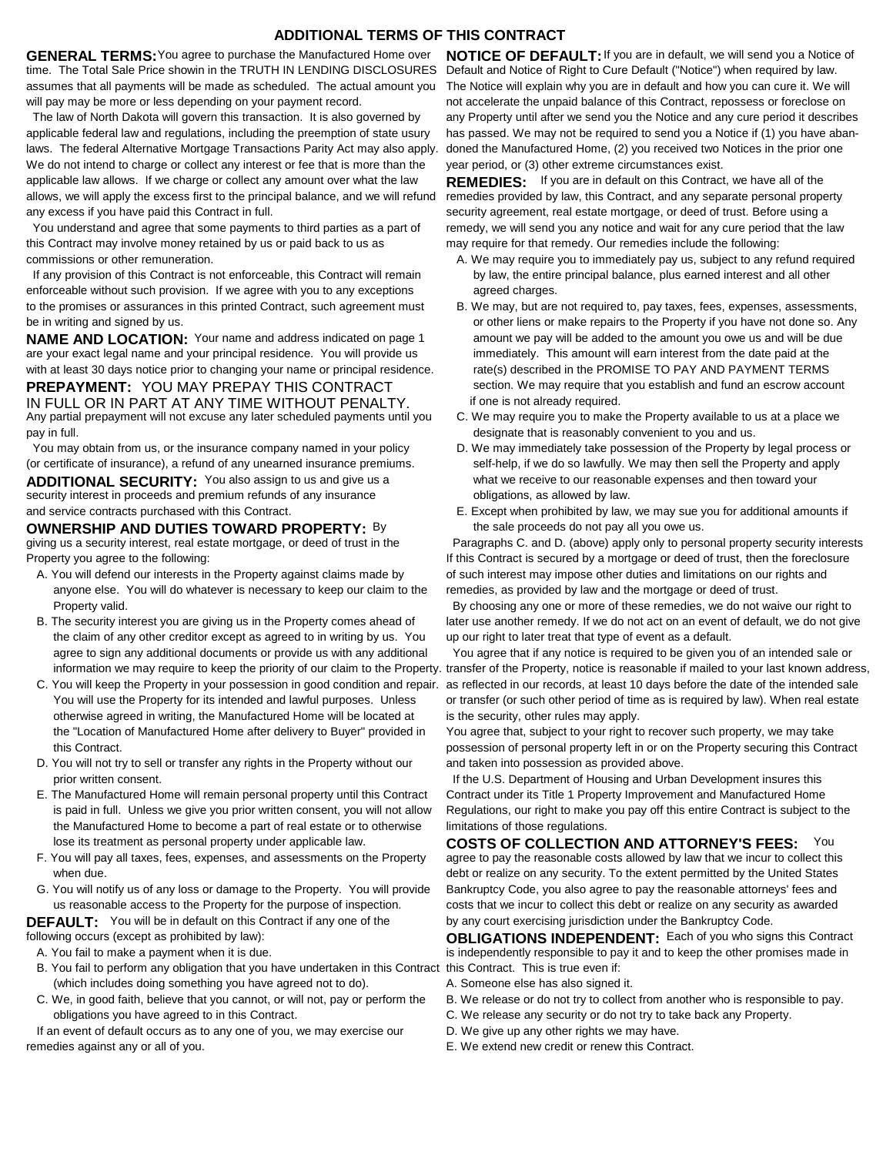## **ADDITIONAL TERMS OF THIS CONTRACT**

**GENERAL TERMS:** You agree to purchase the Manufactured Home over time. The Total Sale Price showin in the TRUTH IN LENDING DISCLOSURES assumes that all payments will be made as scheduled. The actual amount you The Notice will explain why you are in default and how you can cure it. We will will pay may be more or less depending on your payment record.

 The law of North Dakota will govern this transaction. It is also governed by applicable federal law and regulations, including the preemption of state usury laws. The federal Alternative Mortgage Transactions Parity Act may also apply. We do not intend to charge or collect any interest or fee that is more than the applicable law allows. If we charge or collect any amount over what the law allows, we will apply the excess first to the principal balance, and we will refund any excess if you have paid this Contract in full.

this Contract may involve money retained by us or paid back to us as commissions or other remuneration. You understand and agree that some payments to third parties as a part of

 If any provision of this Contract is not enforceable, this Contract will remain enforceable without such provision. If we agree with you to any exceptions to the promises or assurances in this printed Contract, such agreement must be in writing and signed by us.

are your exact legal name and your principal residence. You will provide us **NAME AND LOCATION:** Your name and address indicated on page 1 with at least 30 days notice prior to changing your name or principal residence. **PREPAYMENT: YOU MAY PREPAY THIS CONTRACT** IN FULL OR IN PART AT ANY TIME WITHOUT PENALTY.

Any partial prepayment will not excuse any later scheduled payments until you pay in full.

 You may obtain from us, or the insurance company named in your policy (or certificate of insurance), a refund of any unearned insurance premiums.

and service contracts purchased with this Contract. **ADDITIONAL SECURITY:** You also assign to us and give us a security interest in proceeds and premium refunds of any insurance

**OWNERSHIP AND DUTIES TOWARD PROPERTY: By** giving us a security interest, real estate mortgage, or deed of trust in the Property you agree to the following:

- A. You will defend our interests in the Property against claims made by Property valid. anyone else. You will do whatever is necessary to keep our claim to the
- B. The security interest you are giving us in the Property comes ahead of the claim of any other creditor except as agreed to in writing by us. You agree to sign any additional documents or provide us with any additional
- You will use the Property for its intended and lawful purposes. Unless otherwise agreed in writing, the Manufactured Home will be located at the "Location of Manufactured Home after delivery to Buyer" provided in this Contract.
- prior written consent. D. You will not try to sell or transfer any rights in the Property without our
- is paid in full. Unless we give you prior written consent, you will not allow the Manufactured Home to become a part of real estate or to otherwise lose its treatment as personal property under applicable law. E. The Manufactured Home will remain personal property until this Contract
- F. You will pay all taxes, fees, expenses, and assessments on the Property when due.
- G. You will notify us of any loss or damage to the Property. You will provide us reasonable access to the Property for the purpose of inspection.

**DEFAULT:** You will be in default on this Contract if any one of the following occurs (except as prohibited by law):

- A. You fail to make a payment when it is due.
- (which includes doing something you have agreed not to do). B. You fail to perform any obligation that you have undertaken in this Contract this Contract. This is true even if:
- C. We, in good faith, believe that you cannot, or will not, pay or perform the obligations you have agreed to in this Contract.

If an event of default occurs as to any one of you, we may exercise our remedies against any or all of you.

**NOTICE OF DEFAULT:**If you are in default, we will send you a Notice of Default and Notice of Right to Cure Default ("Notice") when required by law. not accelerate the unpaid balance of this Contract, repossess or foreclose on any Property until after we send you the Notice and any cure period it describes has passed. We may not be required to send you a Notice if (1) you have abandoned the Manufactured Home, (2) you received two Notices in the prior one year period, or (3) other extreme circumstances exist.

**REMEDIES:** If you are in default on this Contract, we have all of the remedies provided by law, this Contract, and any separate personal property security agreement, real estate mortgage, or deed of trust. Before using a remedy, we will send you any notice and wait for any cure period that the law may require for that remedy. Our remedies include the following:

- by law, the entire principal balance, plus earned interest and all other agreed charges. A. We may require you to immediately pay us, subject to any refund required
- B. We may, but are not required to, pay taxes, fees, expenses, assessments, or other liens or make repairs to the Property if you have not done so. Any amount we pay will be added to the amount you owe us and will be due immediately. This amount will earn interest from the date paid at the rate(s) described in the PROMISE TO PAY AND PAYMENT TERMS section. We may require that you establish and fund an escrow account if one is not already required.
- C. We may require you to make the Property available to us at a place we designate that is reasonably convenient to you and us.
- D. We may immediately take possession of the Property by legal process or self-help, if we do so lawfully. We may then sell the Property and apply what we receive to our reasonable expenses and then toward your obligations, as allowed by law.
- the sale proceeds do not pay all you owe us. E. Except when prohibited by law, we may sue you for additional amounts if

 Paragraphs C. and D. (above) apply only to personal property security interests If this Contract is secured by a mortgage or deed of trust, then the foreclosure of such interest may impose other duties and limitations on our rights and remedies, as provided by law and the mortgage or deed of trust.

 By choosing any one or more of these remedies, we do not waive our right to later use another remedy. If we do not act on an event of default, we do not give up our right to later treat that type of event as a default.

 information we may require to keep the priority of our claim to the Property. transfer of the Property, notice is reasonable if mailed to your last known address, C. You will keep the Property in your possession in good condition and repair. as reflected in our records, at least 10 days before the date of the intended sale You agree that if any notice is required to be given you of an intended sale or or transfer (or such other period of time as is required by law). When real estate is the security, other rules may apply.

> You agree that, subject to your right to recover such property, we may take possession of personal property left in or on the Property securing this Contract and taken into possession as provided above.

 If the U.S. Department of Housing and Urban Development insures this Contract under its Title 1 Property Improvement and Manufactured Home Regulations, our right to make you pay off this entire Contract is subject to the limitations of those regulations.

agree to pay the reasonable costs allowed by law that we incur to collect this debt or realize on any security. To the extent permitted by the United States Bankruptcy Code, you also agree to pay the reasonable attorneys' fees and costs that we incur to collect this debt or realize on any security as awarded **COSTS OF COLLECTION AND ATTORNEY'S FEES:** You by any court exercising jurisdiction under the Bankruptcy Code.

**OBLIGATIONS INDEPENDENT:** Each of you who signs this Contract is independently responsible to pay it and to keep the other promises made in

- A. Someone else has also signed it.
- B. We release or do not try to collect from another who is responsible to pay.
- C. We release any security or do not try to take back any Property.
- D. We give up any other rights we may have.
- E. We extend new credit or renew this Contract.